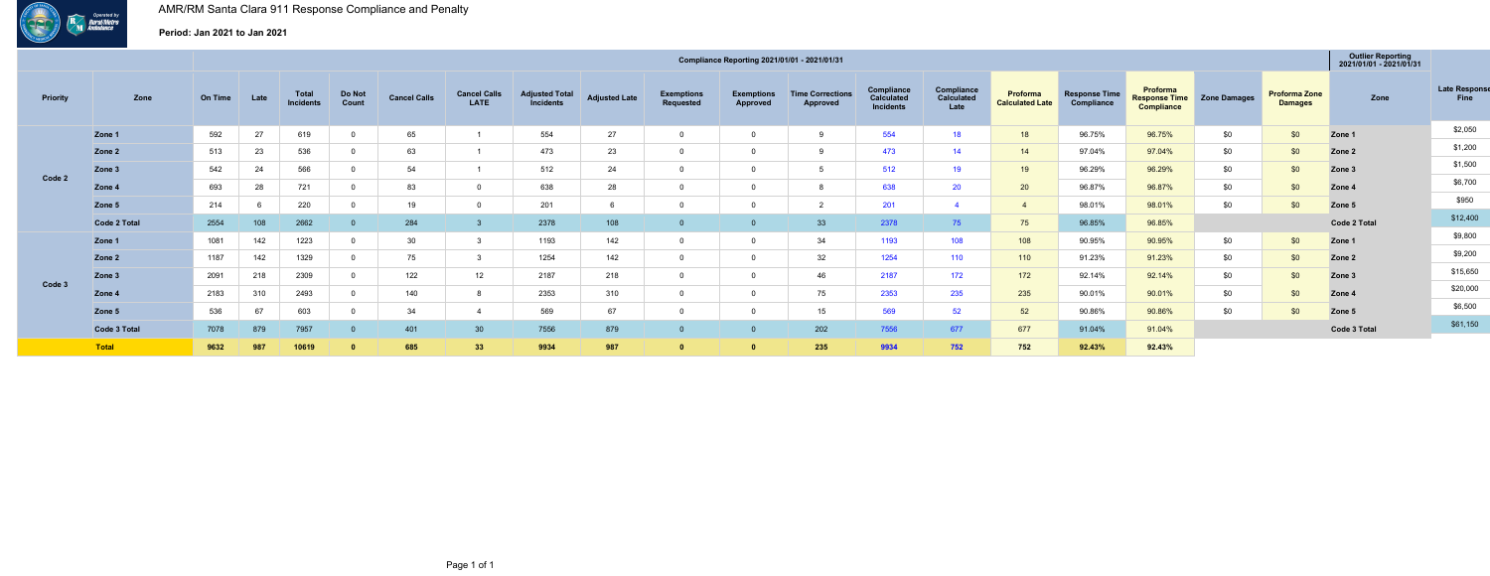

## **Period: Jan 2021 to Jan 2021**

|          |              |         |      |                                  |                 |                     |                             |                                           |                      |                                | Compliance Reporting 2021/01/01 - 2021/01/31 |                                     |                                              |                                  |                                    |                                    |                                                       |                     |                                        | <b>Outlier Reporting</b><br>2021/01/01 - 2021/01/31 |                              |
|----------|--------------|---------|------|----------------------------------|-----------------|---------------------|-----------------------------|-------------------------------------------|----------------------|--------------------------------|----------------------------------------------|-------------------------------------|----------------------------------------------|----------------------------------|------------------------------------|------------------------------------|-------------------------------------------------------|---------------------|----------------------------------------|-----------------------------------------------------|------------------------------|
| Priority | Zone         | On Time | Late | <b>Total</b><br><b>Incidents</b> | Do Not<br>Count | <b>Cancel Calls</b> | <b>Cancel Calls</b><br>LATE | <b>Adjusted Total</b><br><i>incidents</i> | <b>Adjusted Late</b> | <b>Exemptions</b><br>Requested | <b>Exemptions</b><br>Approved                | <b>Time Corrections</b><br>Approved | Compliance<br>Calculated<br><b>Incidents</b> | Compliance<br>Calculated<br>Late | Proforma<br><b>Calculated Late</b> | <b>Response Time</b><br>Compliance | Proforma<br><b>Response Time</b><br><b>Compliance</b> | <b>Zone Damages</b> | <b>Proforma Zone</b><br><b>Damages</b> | Zone                                                | <b>Late Response</b><br>Fine |
|          | Zone 1       | 592     | 27   | 619                              |                 | 65                  |                             | 554                                       | 27                   |                                |                                              |                                     | 554                                          | 18                               | 18                                 | 96.75%                             | 96.75%                                                | \$0                 | \$0                                    | Zone 1                                              | \$2,050                      |
|          | Zone 2       | 513     | 23   | 536                              |                 | 63                  |                             | 473                                       | 23                   |                                |                                              |                                     | 473                                          | 14                               | 14                                 | 97.04%                             | 97.04%                                                | \$0                 | \$0                                    | Zone 2                                              | \$1,200                      |
|          | Zone 3       | 542     | 24   | 566                              |                 | 54                  |                             | 512                                       | 24                   |                                |                                              |                                     | 512                                          | 19                               | 19                                 | 96.29%                             | 96.29%                                                | \$0                 | \$0                                    | Zone 3                                              | \$1,500                      |
| Code 2   | Zone 4       | 693     | 28   | 721                              |                 | 83                  |                             | 638                                       | 28                   |                                |                                              |                                     | 638                                          | 20                               | 20                                 | 96.87%                             | 96.87%                                                | \$0                 | \$0                                    | Zone 4                                              | \$6,700                      |
|          | Zone 5       | 214     |      | 220                              |                 | 19                  |                             | 201                                       |                      |                                |                                              |                                     | 201                                          |                                  |                                    | 98.01%                             | 98.01%                                                | \$0                 | \$0                                    | Zone 5                                              | \$950                        |
|          | Code 2 Total | 2554    | 108  | 2662                             |                 | 284                 |                             | 2378                                      | 108                  |                                |                                              | 33                                  | 2378                                         | 75                               | 75                                 | 96.85%                             | 96.85%                                                |                     |                                        | Code 2 Total                                        | \$12,400                     |
|          | Zone 1       | 1081    | 142  | 1223                             |                 | 30                  |                             | 1193                                      | 142                  |                                |                                              | 34                                  | 1193                                         | 108                              | 108                                | 90.95%                             | 90.95%                                                | \$0                 | \$0                                    | Zone 1                                              | \$9,800                      |
|          | Zone 2       | 1187    | 142  | 1329                             |                 | 75                  |                             | 1254                                      | 142                  |                                |                                              | 32                                  | 1254                                         | 110                              | 110                                | 91.23%                             | 91.23%                                                | \$0                 | \$0                                    | Zone 2                                              | \$9,200                      |
|          | Zone 3       | 2091    | 218  | 2309                             |                 | 122                 | 12                          | 2187                                      | 218                  |                                |                                              | 46                                  | 2187                                         | 172                              | 172                                | 92.14%                             | 92.14%                                                | \$0                 | \$0                                    | Zone 3                                              | \$15,650                     |
| Code 3   | Zone 4       | 2183    | 310  | 2493                             |                 | 140                 |                             | 2353                                      | 310                  |                                |                                              | 75                                  | 2353                                         | 235                              | 235                                | 90.01%                             | 90.01%                                                | \$0                 | \$0                                    | Zone 4                                              | \$20,000                     |
|          | Zone 5       | 536     | 67   | 603                              |                 | 34                  |                             | 569                                       | 67                   |                                |                                              | 15                                  | 569                                          | 52                               | 52                                 | 90.86%                             | 90.86%                                                | \$0                 | \$0                                    | Zone 5                                              | \$6,500                      |
|          | Code 3 Total | 7078    | 879  | 7957                             |                 | 401                 | 30                          | 7556                                      | 879                  |                                |                                              | 202                                 | 7556                                         | 677                              | 677                                | 91.04%                             | 91.04%                                                |                     |                                        | Code 3 Total                                        | \$61,150                     |
|          | Total        | 9632    | 987  | 10619                            |                 | 685                 | 33                          | 9934                                      | 987                  |                                |                                              | 235                                 | 9934                                         | 752                              | 752                                | 92.43%                             | 92.43%                                                |                     |                                        |                                                     |                              |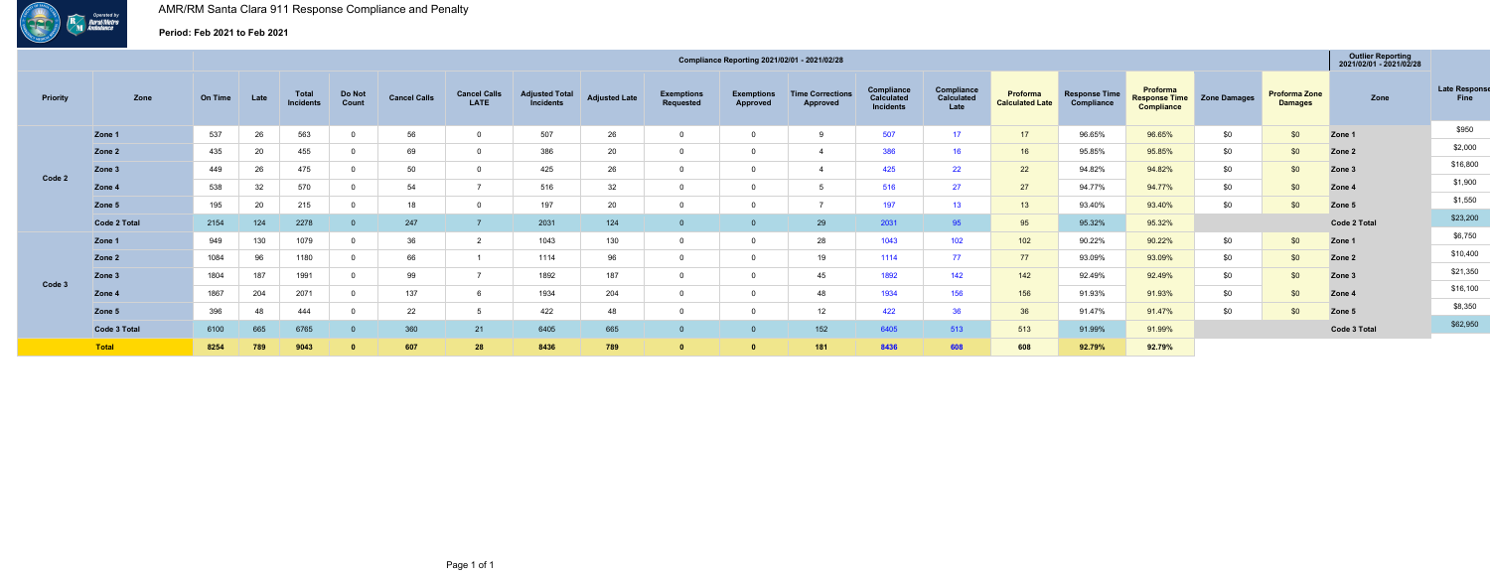

## **Period: Feb 2021 to Feb 2021**

|          |              |                |      |                    |                 |                     |                                    |                                           |                      |                                       | Compliance Reporting 2021/02/01 - 2021/02/28 |                                            |                                       |                                  |                                    |                                    |                                                       |                     |                                        | <b>Outlier Reporting</b><br>2021/02/01 - 2021/02/28 |                              |
|----------|--------------|----------------|------|--------------------|-----------------|---------------------|------------------------------------|-------------------------------------------|----------------------|---------------------------------------|----------------------------------------------|--------------------------------------------|---------------------------------------|----------------------------------|------------------------------------|------------------------------------|-------------------------------------------------------|---------------------|----------------------------------------|-----------------------------------------------------|------------------------------|
| Priority | Zone         | <b>On Time</b> | Late | Total<br>Incidents | Do Not<br>Count | <b>Cancel Calls</b> | <b>Cancel Calls</b><br><b>LATE</b> | <b>Adjusted Total</b><br><b>Incidents</b> | <b>Adjusted Late</b> | <b>Exemptions</b><br><b>Requested</b> | <b>Exemptions</b><br>Approved                | <b>Time Corrections</b><br><b>Approved</b> | Compliance<br>Calculated<br>Incidents | Compliance<br>Calculated<br>Late | Proforma<br><b>Calculated Late</b> | <b>Response Time</b><br>Compliance | Proforma<br><b>Response Time</b><br><b>Compliance</b> | <b>Zone Damages</b> | <b>Proforma Zone</b><br><b>Damages</b> | Zone                                                | <b>Late Response</b><br>Fine |
|          | Zone 1       | 537            | 26   | 563                |                 | 56                  |                                    | 507                                       | 26                   | $\Omega$                              |                                              | -9                                         | 507                                   | 17                               | 17                                 | 96.65%                             | 96.65%                                                | \$0                 | \$0                                    | Zone 1                                              | \$950                        |
|          | Zone 2       | 435            | 20   | 455                |                 | 69                  |                                    | 386                                       | 20                   | $\mathbf 0$                           |                                              |                                            | 386                                   | 16                               | 16                                 | 95.85%                             | 95.85%                                                | \$0                 | \$0                                    | Zone 2                                              | \$2,000                      |
|          | Zone 3       | 449            | 26   | 475                |                 | 50                  |                                    | 425                                       | 26                   | $\Omega$                              |                                              |                                            | 425                                   | 22                               | 22                                 | 94.82%                             | 94.82%                                                | \$0                 | \$0                                    | Zone 3                                              | \$16,800                     |
| Code 2   | Zone 4       | 538            | 32   | 570                |                 | 54                  |                                    | 516                                       | 32                   | $\mathbf{0}$                          |                                              | -5                                         | 516                                   | 27                               | 27                                 | 94.77%                             | 94.77%                                                | \$0                 | \$0                                    | Zone 4                                              | \$1,900                      |
|          | Zone 5       | 195            | 20   | 215                |                 | 18                  |                                    | 197                                       | 20                   | $\mathbf{0}$                          |                                              |                                            | 197                                   | 13                               | 13 <sup>7</sup>                    | 93.40%                             | 93.40%                                                | \$0                 | \$0                                    | Zone 5                                              | \$1,550                      |
|          | Code 2 Total | 2154           | 124  | 2278               |                 | 247                 |                                    | 2031                                      | 124                  |                                       |                                              | 29                                         | 2031                                  | 95 <sup>°</sup>                  | 95                                 | 95.32%                             | 95.32%                                                |                     |                                        | <b>Code 2 Total</b>                                 | \$23,200                     |
|          | Zone 1       | 949            | 130  | 1079               |                 | 36                  |                                    | 1043                                      | 130                  | $\mathbf 0$                           |                                              | 28                                         | 1043                                  | 102                              | 102                                | 90.22%                             | 90.22%                                                | \$0                 | \$0                                    | Zone 1                                              | \$6,750                      |
|          | Zone 2       | 1084           | 96   | 1180               |                 | 66                  |                                    | 1114                                      | 96                   | $\mathbf 0$                           |                                              | 19                                         | 1114                                  | 77                               | 77                                 | 93.09%                             | 93.09%                                                | \$0                 | \$0                                    | Zone 2                                              | \$10,400                     |
|          | Zone 3       | 1804           | 187  | 1991               |                 | 99                  |                                    | 1892                                      | 187                  | $\Omega$                              |                                              | 45                                         | 1892                                  | 142                              | 142                                | 92.49%                             | 92.49%                                                | \$0                 | \$0                                    | Zone 3                                              | \$21,350                     |
| Code 3   | Zone 4       | 1867           | 204  | 2071               |                 | 137                 |                                    | 1934                                      | 204                  | $\mathbf 0$                           |                                              | 48                                         | 1934                                  | 156                              | 156                                | 91.93%                             | 91.93%                                                | \$0                 | \$0                                    | Zone 4                                              | \$16,100                     |
|          | Zone 5       | 396            | 48   | 444                |                 | 22                  |                                    | 422                                       | 48                   | $\Omega$                              |                                              | 12                                         | 422                                   | 36                               | 36                                 | 91.47%                             | 91.47%                                                | \$0                 | \$0                                    | Zone 5                                              | \$8,350                      |
|          | Code 3 Total | 6100           | 665  | 6765               |                 | 360                 | 21                                 | 6405                                      | 665                  | 0                                     |                                              | 152                                        | 6405                                  | 513                              | 513                                | 91.99%                             | 91.99%                                                |                     |                                        | <b>Code 3 Total</b>                                 | \$62,950                     |
|          | Total        | 8254           | 789  | 9043               |                 | 607                 | 28                                 | 8436                                      | 789                  | $\Omega$                              |                                              | 181                                        | 8436                                  | 608                              | 608                                | 92.79%                             | 92.79%                                                |                     |                                        |                                                     |                              |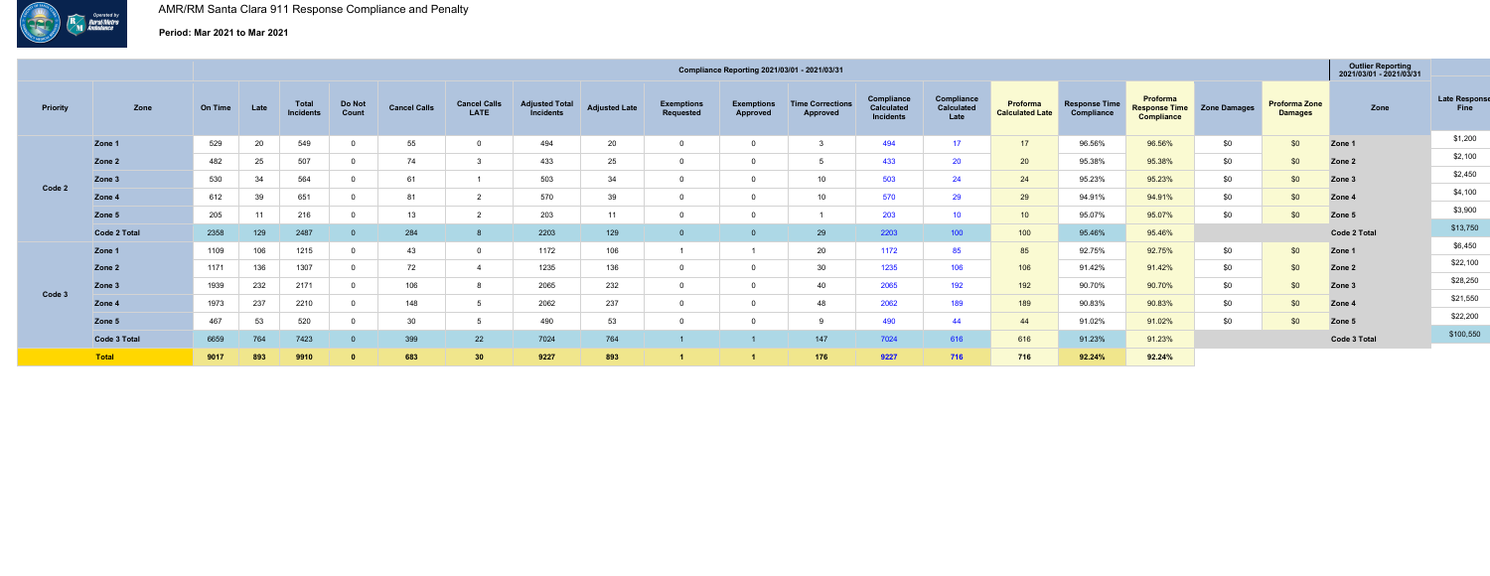

# **Period: Mar 2021 to Mar 2021**

|          |                     |         |      |                                  |                 |                     |                                    |                                           |                      |                                |                               | Compliance Reporting 2021/03/01 - 2021/03/31 |                                              |                                  |                                    |                                    |                                                       |                     |                                        | <b>Outlier Reporting</b><br>2021/03/01 - 2021/03/31 |                              |
|----------|---------------------|---------|------|----------------------------------|-----------------|---------------------|------------------------------------|-------------------------------------------|----------------------|--------------------------------|-------------------------------|----------------------------------------------|----------------------------------------------|----------------------------------|------------------------------------|------------------------------------|-------------------------------------------------------|---------------------|----------------------------------------|-----------------------------------------------------|------------------------------|
| Priority | Zone                | On Time | Late | <b>Total</b><br><b>Incidents</b> | Do Not<br>Count | <b>Cancel Calls</b> | <b>Cancel Calls</b><br><b>LATE</b> | <b>Adjusted Total</b><br><b>Incidents</b> | <b>Adjusted Late</b> | <b>Exemptions</b><br>Requested | <b>Exemptions</b><br>Approved | <b>Time Corrections</b><br><b>Approved</b>   | Compliance<br>Calculated<br><b>Incidents</b> | Compliance<br>Calculated<br>Late | Proforma<br><b>Calculated Late</b> | <b>Response Time</b><br>Compliance | Proforma<br><b>Response Time</b><br><b>Compliance</b> | <b>Zone Damages</b> | <b>Proforma Zone</b><br><b>Damages</b> | Zone                                                | <b>Late Response</b><br>Fine |
|          | Zone 1              | 529     | 20   | 549                              |                 | 55                  | $\Omega$                           | 494                                       | 20                   | $\overline{0}$                 |                               |                                              | 494                                          | 17                               | 17 <sup>7</sup>                    | 96.56%                             | 96.56%                                                | \$0                 | \$0                                    | Zone 1                                              | \$1,200                      |
|          | Zone <sub>2</sub>   | 482     | 25   | 507                              |                 | 74                  |                                    | 433                                       | 25                   | $\overline{0}$                 |                               |                                              | 433                                          | 20                               | 20 <sub>2</sub>                    | 95.38%                             | 95.38%                                                | \$0                 | \$0                                    | Zone 2                                              | \$2,100                      |
|          | Zone 3              | 530     | 34   | 564                              |                 | 61                  |                                    | 503                                       | 34                   | $\overline{0}$                 |                               | 10                                           | 503                                          | 24                               | 24                                 | 95.23%                             | 95.23%                                                | \$0                 | \$0                                    | Zone 3                                              | \$2,450                      |
| Code 2   | Zone 4              | 612     | 39   | 651                              |                 | 81                  |                                    | 570                                       | 39                   | - 0                            |                               | 10                                           | 570                                          | 29                               | 29                                 | 94.91%                             | 94.91%                                                | \$0                 | \$0                                    | Zone 4                                              | \$4,100                      |
|          | Zone 5              | 205     | 11   | 216                              |                 |                     |                                    | 203                                       |                      | $\mathbf 0$                    |                               |                                              | 203                                          | 10 <sup>°</sup>                  | 10 <sup>1</sup>                    | 95.07%                             | 95.07%                                                | \$0                 | \$0                                    | Zone 5                                              | \$3,900                      |
|          | <b>Code 2 Total</b> | 2358    | 129  | 2487                             |                 | 284                 |                                    | 2203                                      | 129                  | $\overline{0}$                 |                               | 29                                           | 2203                                         | 100                              | 100                                | 95.46%                             | 95.46%                                                |                     |                                        | Code 2 Total                                        | \$13,750                     |
|          | Zone 1              | 1109    | 106  | 1215                             |                 | 43                  | $\Omega$                           | 1172                                      | 106                  |                                |                               | 20                                           | 1172                                         | 85                               | 85                                 | 92.75%                             | 92.75%                                                | \$0                 | \$0                                    | Zone 1                                              | \$6,450                      |
|          | Zone 2              | 1171    | 136  | 1307                             |                 | 72                  |                                    | 1235                                      | 136                  | $\overline{0}$                 |                               | 30                                           | 1235                                         | 106                              | 106                                | 91.42%                             | 91.42%                                                | \$0                 | \$0                                    | Zone 2                                              | \$22,100                     |
|          | Zone 3              | 1939    | 232  | 2171                             |                 | 106                 |                                    | 2065                                      | 232                  | $\overline{0}$                 |                               | 40                                           | 2065                                         | 192                              | 192                                | 90.70%                             | 90.70%                                                | \$0                 | \$0                                    | Zone 3                                              | \$28,250                     |
| Code 3   | Zone 4              | 1973    | 237  | 2210                             |                 | 148                 |                                    | 2062                                      | 237                  | $\overline{0}$                 |                               | 48                                           | 2062                                         | 189                              | 189                                | 90.83%                             | 90.83%                                                | \$0                 | \$0                                    | Zone 4                                              | \$21,550                     |
|          | Zone 5              | 467     | 53   | 520                              |                 | 30                  |                                    | 490                                       | 53                   | 0                              |                               |                                              | 490                                          | 44                               | 44                                 | 91.02%                             | 91.02%                                                | \$0                 | \$0                                    | Zone 5                                              | \$22,200                     |
|          | Code 3 Total        | 6659    | 764  | 7423                             |                 | 399                 | 22                                 | 7024                                      | 764                  |                                |                               | 147                                          | 7024                                         | 616                              | 616                                | 91.23%                             | 91.23%                                                |                     |                                        | Code 3 Total                                        | \$100,550                    |
|          | Total               | 9017    | 893  | 9910                             |                 | 683                 | 30                                 | 9227                                      | 893                  |                                |                               | 176                                          | 9227                                         | 716                              | 716                                | 92.24%                             | 92.24%                                                |                     |                                        |                                                     |                              |